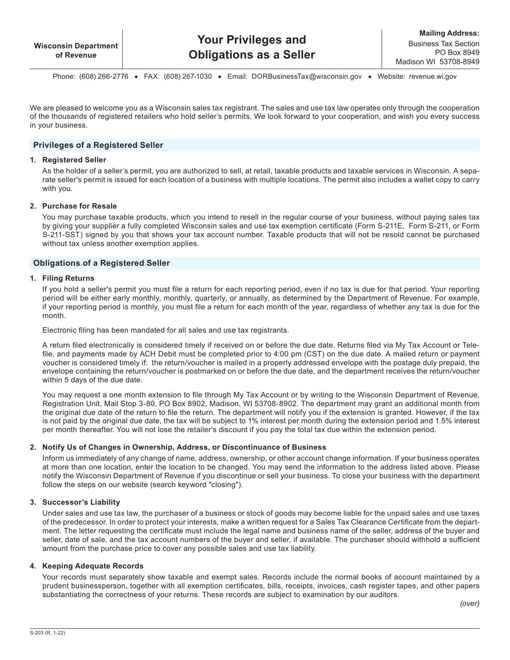Phone: (608) 266‑2776   •   FAX: (608) 267‑1030   •   Email: [DORBusinessTax@wisconsin.gov](https://www.revenue.wi.gov/Pages/ContactUs/dorhelp.aspx?subject=dorsalesanduse) •   Website: [revenue.wi.gov](https://www.revenue.wi.gov)

We are pleased to welcome you as a Wisconsin sales tax registrant. The sales and use tax law operates only through the cooperation of the thousands of registered retailers who hold seller's permits. We look forward to your cooperation, and wish you every success in your business.

### **Privileges of a Registered Seller**

#### **1. Registered Seller**

As the holder of a seller's permit, you are authorized to sell, at retail, taxable products and taxable services in Wisconsin. A separate seller's permit is issued for each location of a business with multiple locations. The permit also includes a wallet copy to carry with you.

### **2. Purchase for Resale**

You may purchase taxable products, which you intend to resell in the regular course of your business, without paying sales tax by giving your supplier a fully completed Wisconsin sales and use tax exemption certificate (Form S-211E, Form S-211, or Form S-211-SST) signed by you that shows your tax account number. Taxable products that will not be resold cannot be purchased without tax unless another exemption applies.

### **Obligations of a Registered Seller**

#### **1. Filing Returns**

If you hold a seller's permit you must file a return for each reporting period, even if no tax is due for that period. Your reporting period will be either early monthly, monthly, quarterly, or annually, as determined by the Department of Revenue. For example, if your reporting period is monthly, you must file a return for each month of the year, regardless of whether any tax is due for the month.

Electronic filing has been mandated for all sales and use tax registrants.

A return filed electronically is considered timely if received on or before the due date. Returns filed via My Tax Account or Telefile, and payments made by ACH Debit must be completed prior to 4:00 pm (CST) on the due date. A mailed return or payment voucher is considered timely if: the return/voucher is mailed in a properly addressed envelope with the postage duly prepaid, the envelope containing the return/voucher is postmarked on or before the due date, and the department receives the return/voucher within 5 days of the due date.

You may request a one month extension to file through My Tax Account or by writing to the Wisconsin Department of Revenue, Registration Unit, Mail Stop 3-80, PO Box 8902, Madison, WI 53708-8902. The department may grant an additional month from the original due date of the return to file the return. The department will notify you if the extension is granted. However, if the tax is not paid by the original due date, the tax will be subject to 1% interest per month during the extension period and 1.5% interest per month thereafter. You will not lose the retailer's discount if you pay the total tax due within the extension period.

### **2. Notify Us of Changes in Ownership, Address, or Discontinuance of Business**

Inform us immediately of any change of name, address, ownership, or other account change information. If your business operates at more than one location, enter the location to be changed. You may send the information to the address listed above. Please notify the Wisconsin Department of Revenue if you discontinue or sell your business. To close your business with the department follow the steps on our website (search keyword "closing").

### **3. Successor's Liability**

Under sales and use tax law, the purchaser of a business or stock of goods may become liable for the unpaid sales and use taxes of the predecessor. In order to protect your interests, make a written request for a Sales Tax Clearance Certificate from the department. The letter requesting the certificate must include the legal name and business name of the seller, address of the buyer and seller, date of sale, and the tax account numbers of the buyer and seller, if available. The purchaser should withhold a sufficient amount from the purchase price to cover any possible sales and use tax liability.

### **4. Keeping Adequate Records**

Your records must separately show taxable and exempt sales. Records include the normal books of account maintained by a prudent businessperson, together with all exemption certificates, bills, receipts, invoices, cash register tapes, and other papers substantiating the correctness of your returns. These records are subject to examination by our auditors.